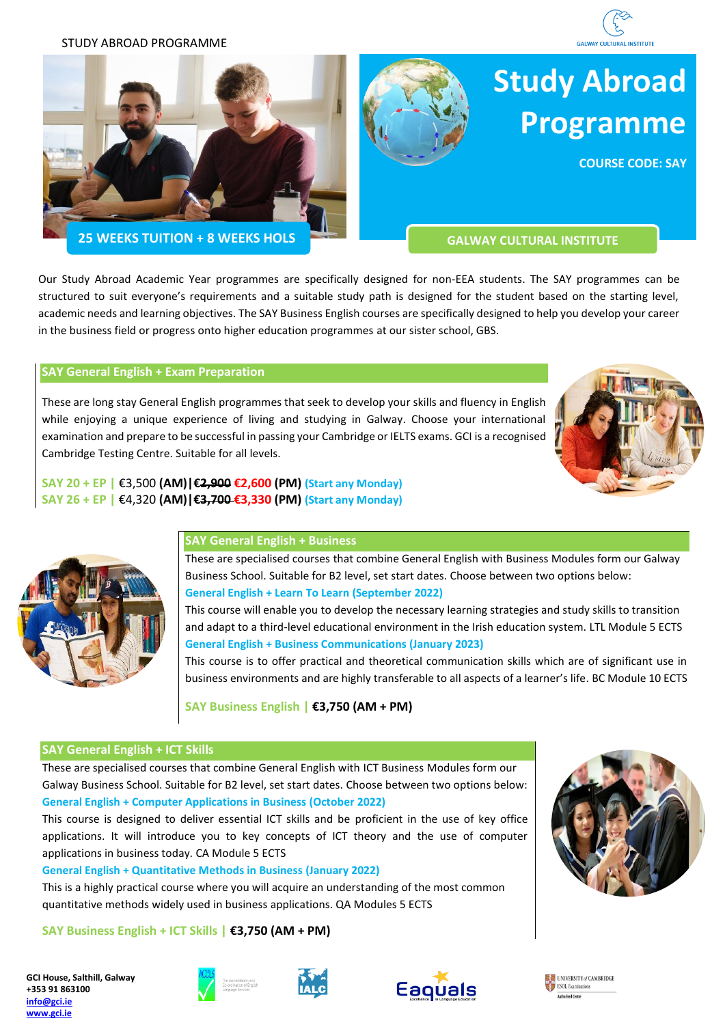

STUDY ABROAD PROGRAMME





# **Study Abroad Programme**

**COURSE CODE: SAY**

**25 WEEKS TUITION + 8 WEEKS HOLS CONSUMING THE GALWAY CULTURAL INSTITUTE** 

Our Study Abroad Academic Year programmes are specifically designed for non-EEA students. The SAY programmes can be structured to suit everyone's requirements and a suitable study path is designed for the student based on the starting level, academic needs and learning objectives. The SAY Business English courses are specifically designed to help you develop your career in the business field or progress onto higher education programmes at our sister school, GBS.

## **SAY General English + Exam Preparation**

These are long stay General English programmes that seek to develop your skills and fluency in English while enjoying a unique experience of living and studying in Galway. Choose your international examination and prepare to be successful in passing your Cambridge or IELTS exams. GCI is a recognised Cambridge Testing Centre. Suitable for all levels.



## **SAY General English + Business**

**SAY 20 + EP |** €3,500 **(AM)|€2,900 €2,600 (PM) (Start any Monday) SAY 26 + EP |** €4,320 **(AM)|€3,700 €3,330 (PM) (Start any Monday)**

> These are specialised courses that combine General English with Business Modules form our Galway Business School. Suitable for B2 level, set start dates. Choose between two options below: **General English + Learn To Learn (September 2022)**

> This course will enable you to develop the necessary learning strategies and study skills to transition and adapt to a third-level educational environment in the Irish education system. LTL Module 5 ECTS **General English + Business Communications (January 2023)**

> This course is to offer practical and theoretical communication skills which are of significant use in business environments and are highly transferable to all aspects of a learner's life. BC Module 10 ECTS

**SAY Business English | €3,750 (AM + PM)**

## **SAY General English + ICT Skills**

These are specialised courses that combine General English with ICT Business Modules form our Galway Business School. Suitable for B2 level, set start dates. Choose between two options below: **General English + Computer Applications in Business (October 2022)**

This course is designed to deliver essential ICT skills and be proficient in the use of key office applications. It will introduce you to key concepts of ICT theory and the use of computer applications in business today. CA Module 5 ECTS

**General English + Quantitative Methods in Business (January 2022)**

This is a highly practical course where you will acquire an understanding of the most common quantitative methods widely used in business applications. QA Modules 5 ECTS

**SAY Business English + ICT Skills | €3,750 (AM + PM)**

**GCI House, Salthill, Galway +353 91 863100 [info@gci.ie](mailto:info@gci.ie) [www.gci.ie](http://www.gci.ie/)**